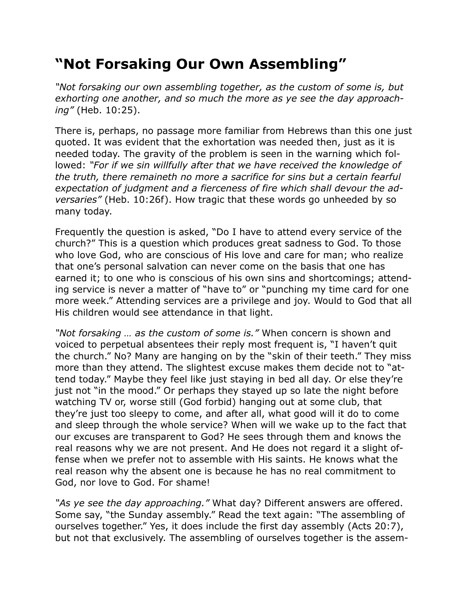## **"Not Forsaking Our Own Assembling"**

*"Not forsaking our own assembling together, as the custom of some is, but exhorting one another, and so much the more as ye see the day approaching"* (Heb. 10:25).

There is, perhaps, no passage more familiar from Hebrews than this one just quoted. It was evident that the exhortation was needed then, just as it is needed today. The gravity of the problem is seen in the warning which followed: *"For if we sin willfully after that we have received the knowledge of the truth, there remaineth no more a sacrifice for sins but a certain fearful expectation of judgment and a fierceness of fire which shall devour the adversaries"* (Heb. 10:26f). How tragic that these words go unheeded by so many today.

Frequently the question is asked, "Do I have to attend every service of the church?" This is a question which produces great sadness to God. To those who love God, who are conscious of His love and care for man; who realize that one's personal salvation can never come on the basis that one has earned it; to one who is conscious of his own sins and shortcomings; attending service is never a matter of "have to" or "punching my time card for one more week." Attending services are a privilege and joy. Would to God that all His children would see attendance in that light.

*"Not forsaking … as the custom of some is."* When concern is shown and voiced to perpetual absentees their reply most frequent is, "I haven't quit the church." No? Many are hanging on by the "skin of their teeth." They miss more than they attend. The slightest excuse makes them decide not to "attend today." Maybe they feel like just staying in bed all day. Or else they're just not "in the mood." Or perhaps they stayed up so late the night before watching TV or, worse still (God forbid) hanging out at some club, that they're just too sleepy to come, and after all, what good will it do to come and sleep through the whole service? When will we wake up to the fact that our excuses are transparent to God? He sees through them and knows the real reasons why we are not present. And He does not regard it a slight offense when we prefer not to assemble with His saints. He knows what the real reason why the absent one is because he has no real commitment to God, nor love to God. For shame!

*"As ye see the day approaching."* What day? Different answers are offered. Some say, "the Sunday assembly." Read the text again: "The assembling of ourselves together." Yes, it does include the first day assembly (Acts 20:7), but not that exclusively. The assembling of ourselves together is the assem-